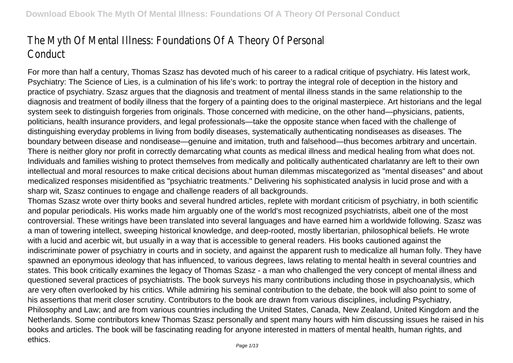# The Myth Of Mental Illness: Foundations Of A Theory Of Personal **Conduct**

For more than half a century, Thomas Szasz has devoted much of his career to a radical critique of psychiatry. His latest work, Psychiatry: The Science of Lies, is a culmination of his life's work: to portray the integral role of deception in the history and practice of psychiatry. Szasz argues that the diagnosis and treatment of mental illness stands in the same relationship to the diagnosis and treatment of bodily illness that the forgery of a painting does to the original masterpiece. Art historians and the legal system seek to distinguish forgeries from originals. Those concerned with medicine, on the other hand—physicians, patients, politicians, health insurance providers, and legal professionals—take the opposite stance when faced with the challenge of distinguishing everyday problems in living from bodily diseases, systematically authenticating nondiseases as diseases. The boundary between disease and nondisease—genuine and imitation, truth and falsehood—thus becomes arbitrary and uncertain. There is neither glory nor profit in correctly demarcating what counts as medical illness and medical healing from what does not. Individuals and families wishing to protect themselves from medically and politically authenticated charlatanry are left to their own intellectual and moral resources to make critical decisions about human dilemmas miscategorized as "mental diseases" and about medicalized responses misidentified as "psychiatric treatments." Delivering his sophisticated analysis in lucid prose and with a sharp wit, Szasz continues to engage and challenge readers of all backgrounds.

Thomas Szasz wrote over thirty books and several hundred articles, replete with mordant criticism of psychiatry, in both scientific and popular periodicals. His works made him arguably one of the world's most recognized psychiatrists, albeit one of the most controversial. These writings have been translated into several languages and have earned him a worldwide following. Szasz was a man of towering intellect, sweeping historical knowledge, and deep-rooted, mostly libertarian, philosophical beliefs. He wrote with a lucid and acerbic wit, but usually in a way that is accessible to general readers. His books cautioned against the indiscriminate power of psychiatry in courts and in society, and against the apparent rush to medicalize all human folly. They have spawned an eponymous ideology that has influenced, to various degrees, laws relating to mental health in several countries and states. This book critically examines the legacy of Thomas Szasz - a man who challenged the very concept of mental illness and questioned several practices of psychiatrists. The book surveys his many contributions including those in psychoanalysis, which are very often overlooked by his critics. While admiring his seminal contribution to the debate, the book will also point to some of his assertions that merit closer scrutiny. Contributors to the book are drawn from various disciplines, including Psychiatry, Philosophy and Law; and are from various countries including the United States, Canada, New Zealand, United Kingdom and the Netherlands. Some contributors knew Thomas Szasz personally and spent many hours with him discussing issues he raised in his books and articles. The book will be fascinating reading for anyone interested in matters of mental health, human rights, and ethics.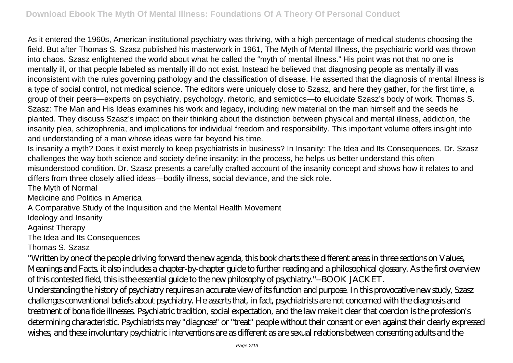As it entered the 1960s, American institutional psychiatry was thriving, with a high percentage of medical students choosing the field. But after Thomas S. Szasz published his masterwork in 1961, The Myth of Mental Illness, the psychiatric world was thrown into chaos. Szasz enlightened the world about what he called the "myth of mental illness." His point was not that no one is mentally ill, or that people labeled as mentally ill do not exist. Instead he believed that diagnosing people as mentally ill was inconsistent with the rules governing pathology and the classification of disease. He asserted that the diagnosis of mental illness is a type of social control, not medical science. The editors were uniquely close to Szasz, and here they gather, for the first time, a group of their peers—experts on psychiatry, psychology, rhetoric, and semiotics—to elucidate Szasz's body of work. Thomas S. Szasz: The Man and His Ideas examines his work and legacy, including new material on the man himself and the seeds he planted. They discuss Szasz's impact on their thinking about the distinction between physical and mental illness, addiction, the insanity plea, schizophrenia, and implications for individual freedom and responsibility. This important volume offers insight into and understanding of a man whose ideas were far beyond his time.

Is insanity a myth? Does it exist merely to keep psychiatrists in business? In Insanity: The Idea and Its Consequences, Dr. Szasz challenges the way both science and society define insanity; in the process, he helps us better understand this often misunderstood condition. Dr. Szasz presents a carefully crafted account of the insanity concept and shows how it relates to and differs from three closely allied ideas—bodily illness, social deviance, and the sick role.

The Myth of Normal

Medicine and Politics in America

A Comparative Study of the Inquisition and the Mental Health Movement

Ideology and Insanity

Against Therapy

The Idea and Its Consequences

Thomas S. Szasz

"Written by one of the people driving forward the new agenda, this book charts these different areas in three sections on Values, Meanings and Facts. it also includes a chapter-by-chapter guide to further reading and a philosophical glossary. As the first overview of this contested field, this is the essential guide to the new philosophy of psychiatry."--BOOK JACKET.

Understanding the history of psychiatry requires an accurate view of its function and purpose. In this provocative new study, Szasz challenges conventional beliefs about psychiatry. He asserts that, in fact, psychiatrists are not concerned with the diagnosis and treatment of bona fide illnesses. Psychiatric tradition, social expectation, and the law make it clear that coercion is the profession's determining characteristic. Psychiatrists may "diagnose" or "treat" people without their consent or even against their clearly expressed wishes, and these involuntary psychiatric interventions are as different as are sexual relations between consenting adults and the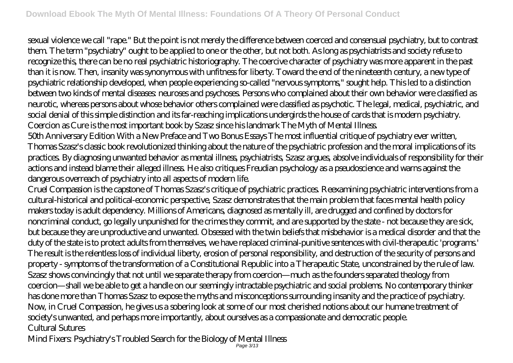sexual violence we call "rape." But the point is not merely the difference between coerced and consensual psychiatry, but to contrast them. The term "psychiatry" ought to be applied to one or the other, but not both. As long as psychiatrists and society refuse to recognize this, there can be no real psychiatric historiography. The coercive character of psychiatry was more apparent in the past than it is now. Then, insanity was synonymous with unfitness for liberty. Toward the end of the nineteenth century, a new type of psychiatric relationship developed, when people experiencing so-called "nervous symptoms," sought help. This led to a distinction between two kinds of mental diseases: neuroses and psychoses. Persons who complained about their own behavior were classified as neurotic, whereas persons about whose behavior others complained were classified as psychotic. The legal, medical, psychiatric, and social denial of this simple distinction and its far-reaching implications undergirds the house of cards that is modern psychiatry. Coercion as Cure is the most important book by Szasz since his landmark The Myth of Mental Illness.

50th Anniversary Edition With a New Preface and Two Bonus Essays The most influential critique of psychiatry ever written, Thomas Szasz's classic book revolutionized thinking about the nature of the psychiatric profession and the moral implications of its practices. By diagnosing unwanted behavior as mental illness, psychiatrists, Szasz argues, absolve individuals of responsibility for their actions and instead blame their alleged illness. He also critiques Freudian psychology as a pseudoscience and warns against the dangerous overreach of psychiatry into all aspects of modern life.

Cruel Compassion is the capstone of Thomas Szasz's critique of psychiatric practices. Reexamining psychiatric interventions from a cultural-historical and political-economic perspective, Szasz demonstrates that the main problem that faces mental health policy makers today is adult dependency. Millions of Americans, diagnosed as mentally ill, are drugged and confined by doctors for noncriminal conduct, go legally unpunished for the crimes they commit, and are supported by the state - not because they are sick, but because they are unproductive and unwanted. Obsessed with the twin beliefs that misbehavior is a medical disorder and that the duty of the state is to protect adults from themselves, we have replaced criminal-punitive sentences with civil-therapeutic 'programs.' The result is the relentless loss of individual liberty, erosion of personal responsibility, and destruction of the security of persons and property - symptoms of the transformation of a Constitutional Republic into a Therapeutic State, unconstrained by the rule of law. Szasz shows convincingly that not until we separate therapy from coercion—much as the founders separated theology from coercion—shall we be able to get a handle on our seemingly intractable psychiatric and social problems. No contemporary thinker has done more than Thomas Szasz to expose the myths and misconceptions surrounding insanity and the practice of psychiatry. Now, in Cruel Compassion, he gives us a sobering look at some of our most cherished notions about our humane treatment of society's unwanted, and perhaps more importantly, about ourselves as a compassionate and democratic people. Cultural Sutures

Mind Fixers: Psychiatry's Troubled Search for the Biology of Mental Illness Page 3/13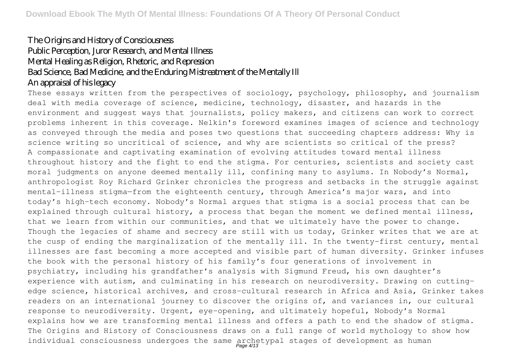## The Origins and History of Consciousness Public Perception, Juror Research, and Mental Illness Mental Healing as Religion, Rhetoric, and Repression Bad Science, Bad Medicine, and the Enduring Mistreatment of the Mentally Ill An appraisal of his legacy

These essays written from the perspectives of sociology, psychology, philosophy, and journalism deal with media coverage of science, medicine, technology, disaster, and hazards in the environment and suggest ways that journalists, policy makers, and citizens can work to correct problems inherent in this coverage. Nelkin's foreword examines images of science and technology as conveyed through the media and poses two questions that succeeding chapters address: Why is science writing so uncritical of science, and why are scientists so critical of the press? A compassionate and captivating examination of evolving attitudes toward mental illness throughout history and the fight to end the stigma. For centuries, scientists and society cast moral judgments on anyone deemed mentally ill, confining many to asylums. In Nobody's Normal, anthropologist Roy Richard Grinker chronicles the progress and setbacks in the struggle against mental-illness stigma—from the eighteenth century, through America's major wars, and into today's high-tech economy. Nobody's Normal argues that stigma is a social process that can be explained through cultural history, a process that began the moment we defined mental illness, that we learn from within our communities, and that we ultimately have the power to change. Though the legacies of shame and secrecy are still with us today, Grinker writes that we are at the cusp of ending the marginalization of the mentally ill. In the twenty-first century, mental illnesses are fast becoming a more accepted and visible part of human diversity. Grinker infuses the book with the personal history of his family's four generations of involvement in psychiatry, including his grandfather's analysis with Sigmund Freud, his own daughter's experience with autism, and culminating in his research on neurodiversity. Drawing on cuttingedge science, historical archives, and cross-cultural research in Africa and Asia, Grinker takes readers on an international journey to discover the origins of, and variances in, our cultural response to neurodiversity. Urgent, eye-opening, and ultimately hopeful, Nobody's Normal explains how we are transforming mental illness and offers a path to end the shadow of stigma. The Origins and History of Consciousness draws on a full range of world mythology to show how individual consciousness undergoes the same archetypal stages of development as human Page 4/13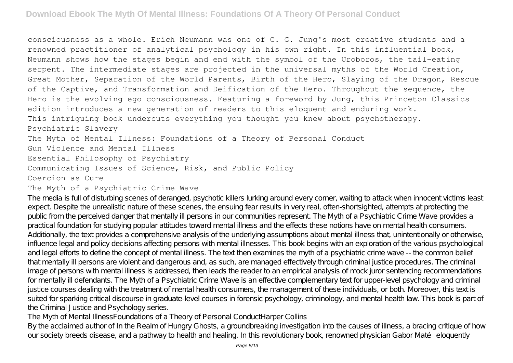consciousness as a whole. Erich Neumann was one of C. G. Jung's most creative students and a renowned practitioner of analytical psychology in his own right. In this influential book, Neumann shows how the stages begin and end with the symbol of the Uroboros, the tail-eating serpent. The intermediate stages are projected in the universal myths of the World Creation, Great Mother, Separation of the World Parents, Birth of the Hero, Slaying of the Dragon, Rescue of the Captive, and Transformation and Deification of the Hero. Throughout the sequence, the Hero is the evolving ego consciousness. Featuring a foreword by Jung, this Princeton Classics edition introduces a new generation of readers to this eloquent and enduring work. This intriguing book undercuts everything you thought you knew about psychotherapy. Psychiatric Slavery The Myth of Mental Illness: Foundations of a Theory of Personal Conduct Gun Violence and Mental Illness Essential Philosophy of Psychiatry Communicating Issues of Science, Risk, and Public Policy Coercion as Cure

#### The Myth of a Psychiatric Crime Wave

The media is full of disturbing scenes of deranged, psychotic killers lurking around every corner, waiting to attack when innocent victims least expect. Despite the unrealistic nature of these scenes, the ensuing fear results in very real, often-shortsighted, attempts at protecting the public from the perceived danger that mentally ill persons in our communities represent. The Myth of a Psychiatric Crime Wave provides a practical foundation for studying popular attitudes toward mental illness and the effects these notions have on mental health consumers. Additionally, the text provides a comprehensive analysis of the underlying assumptions about mental illness that, unintentionally or otherwise, influence legal and policy decisions affecting persons with mental illnesses. This book begins with an exploration of the various psychological and legal efforts to define the concept of mental illness. The text then examines the myth of a psychiatric crime wave -- the common belief that mentally ill persons are violent and dangerous and, as such, are managed effectively through criminal justice procedures. The criminal image of persons with mental illness is addressed, then leads the reader to an empirical analysis of mock juror sentencing recommendations for mentally ill defendants. The Myth of a Psychiatric Crime Wave is an effective complementary text for upper-level psychology and criminal justice courses dealing with the treatment of mental health consumers, the management of these individuals, or both. Moreover, this text is suited for sparking critical discourse in graduate-level courses in forensic psychology, criminology, and mental health law. This book is part of the Criminal Justice and Psychology series.

The Myth of Mental IllnessFoundations of a Theory of Personal ConductHarper Collins

By the acclaimed author of In the Realm of Hungry Ghosts, a groundbreaking investigation into the causes of illness, a bracing critique of how our society breeds disease, and a pathway to health and healing. In this revolutionary book, renowned physician Gabor Maté eloquently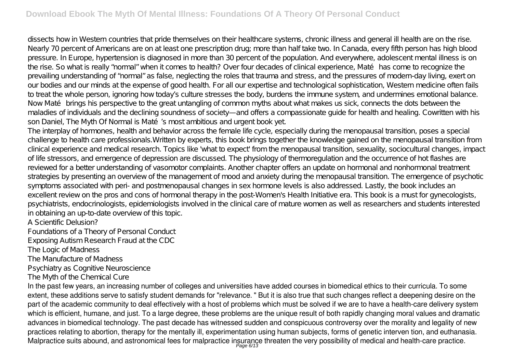dissects how in Western countries that pride themselves on their healthcare systems, chronic illness and general ill health are on the rise. Nearly 70 percent of Americans are on at least one prescription drug; more than half take two. In Canada, every fifth person has high blood pressure. In Europe, hypertension is diagnosed in more than 30 percent of the population. And everywhere, adolescent mental illness is on the rise. So what is really "normal" when it comes to health? Over four decades of clinical experience, Maté has come to recognize the prevailing understanding of "normal" as false, neglecting the roles that trauma and stress, and the pressures of modern-day living, exert on our bodies and our minds at the expense of good health. For all our expertise and technological sophistication, Western medicine often fails to treat the whole person, ignoring how today's culture stresses the body, burdens the immune system, and undermines emotional balance. Now Maté brings his perspective to the great untangling of common myths about what makes us sick, connects the dots between the maladies of individuals and the declining soundness of society—and offers a compassionate guide for health and healing. Cowritten with his son Daniel, The Myth Of Normal is Maté's most ambitious and urgent book yet.

The interplay of hormones, health and behavior across the female life cycle, especially during the menopausal transition, poses a special challenge to health care professionals.Written by experts, this book brings together the knowledge gained on the menopausal transition from clinical experience and medical research. Topics like 'what to expect' from the menopausal transition, sexuality, sociocultural changes, impact of life stressors, and emergence of depression are discussed. The physiology of thermoregulation and the occurrence of hot flashes are reviewed for a better understanding of vasomotor complaints. Another chapter offers an update on hormonal and nonhormonal treatment strategies by presenting an overview of the management of mood and anxiety during the menopausal transition. The emergence of psychotic symptoms associated with peri- and postmenopausal changes in sex hormone levels is also addressed. Lastly, the book includes an excellent review on the pros and cons of hormonal therapy in the post-Women's Health Initiative era. This book is a must for gynecologists, psychiatrists, endocrinologists, epidemiologists involved in the clinical care of mature women as well as researchers and students interested in obtaining an up-to-date overview of this topic.

A Scientific Delusion?

Foundations of a Theory of Personal Conduct

Exposing Autism Research Fraud at the CDC

The Logic of Madness

The Manufacture of Madness

Psychiatry as Cognitive Neuroscience

The Myth of the Chemical Cure

In the past few years, an increasing number of colleges and universities have added courses in biomedical ethics to their curricula. To some extent, these additions serve to satisfy student demands for "relevance. " But it is also true that such changes reflect a deepening desire on the part of the academic community to deal effectively with a host of problems which must be solved if we are to have a health-care delivery system which is efficient, humane, and just. To a large degree, these problems are the unique result of both rapidly changing moral values and dramatic advances in biomedical technology. The past decade has witnessed sudden and conspicuous controversy over the morality and legality of new practices relating to abortion, therapy for the mentally ill, experimentation using human subjects, forms of genetic interven tion, and euthanasia. Malpractice suits abound, and astronomical fees for malpractice insurance threaten the very possibility of medical and health-care practice.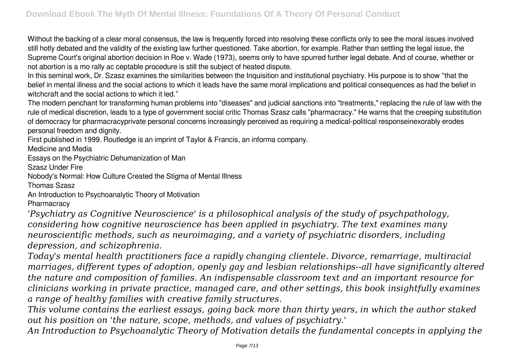Without the backing of a clear moral consensus, the law is frequently forced into resolving these conflicts only to see the moral issues involved still hotly debated and the validity of the existing law further questioned. Take abortion, for example. Rather than settling the legal issue, the Supreme Court's original abortion decision in Roe v. Wade (1973), seems only to have spurred further legal debate. And of course, whether or not abortion is a mo rally ac ceptable procedure is still the subject of heated dispute.

In this seminal work, Dr. Szasz examines the similarities between the Inquisition and institutional psychiatry. His purpose is to show "that the belief in mental illness and the social actions to which it leads have the same moral implications and political consequences as had the belief in witchcraft and the social actions to which it led."

The modern penchant for transforming human problems into "diseases" and judicial sanctions into "treatments," replacing the rule of law with the rule of medical discretion, leads to a type of government social critic Thomas Szasz calls "pharmacracy." He warns that the creeping substitution of democracy for pharmacracyprivate personal concerns increasingly perceived as requiring a medical-political responseinexorably erodes personal freedom and dignity.

First published in 1999. Routledge is an imprint of Taylor & Francis, an informa company.

Medicine and Media

Essays on the Psychiatric Dehumanization of Man

Szasz Under Fire

Nobody's Normal: How Culture Created the Stigma of Mental Illness

Thomas Szasz

An Introduction to Psychoanalytic Theory of Motivation

**Pharmacracy** 

*'Psychiatry as Cognitive Neuroscience' is a philosophical analysis of the study of psychpathology, considering how cognitive neuroscience has been applied in psychiatry. The text examines many neuroscientific methods, such as neuroimaging, and a variety of psychiatric disorders, including depression, and schizophrenia.*

*Today's mental health practitioners face a rapidly changing clientele. Divorce, remarriage, multiracial marriages, different types of adoption, openly gay and lesbian relationships--all have significantly altered the nature and composition of families. An indispensable classroom text and an important resource for clinicians working in private practice, managed care, and other settings, this book insightfully examines a range of healthy families with creative family structures.*

*This volume contains the earliest essays, going back more than thirty years, in which the author staked out his position on 'the nature, scope, methods, and values of psychiatry.'*

*An Introduction to Psychoanalytic Theory of Motivation details the fundamental concepts in applying the*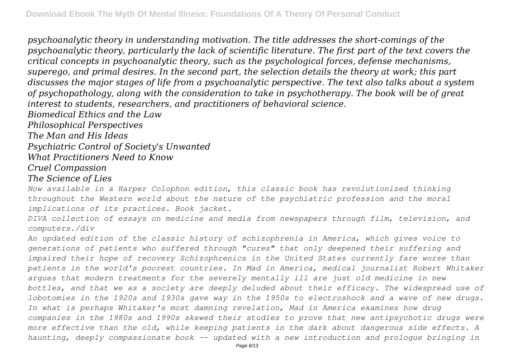*psychoanalytic theory in understanding motivation. The title addresses the short-comings of the psychoanalytic theory, particularly the lack of scientific literature. The first part of the text covers the critical concepts in psychoanalytic theory, such as the psychological forces, defense mechanisms, superego, and primal desires. In the second part, the selection details the theory at work; this part discusses the major stages of life from a psychoanalytic perspective. The text also talks about a system of psychopathology, along with the consideration to take in psychotherapy. The book will be of great interest to students, researchers, and practitioners of behavioral science.*

*Biomedical Ethics and the Law*

*Philosophical Perspectives*

*The Man and His Ideas*

*Psychiatric Control of Society's Unwanted*

*What Practitioners Need to Know*

*Cruel Compassion*

*The Science of Lies*

*Now available in a Harper Colophon edition, this classic book has revolutionized thinking throughout the Western world about the nature of the psychiatric profession and the moral implications of its practices. Book jacket.*

*DIVA collection of essays on medicine and media from newspapers through film, television, and computers./div*

*An updated edition of the classic history of schizophrenia in America, which gives voice to generations of patients who suffered through "cures" that only deepened their suffering and impaired their hope of recovery Schizophrenics in the United States currently fare worse than patients in the world's poorest countries. In Mad in America, medical journalist Robert Whitaker argues that modern treatments for the severely mentally ill are just old medicine in new bottles, and that we as a society are deeply deluded about their efficacy. The widespread use of lobotomies in the 1920s and 1930s gave way in the 1950s to electroshock and a wave of new drugs. In what is perhaps Whitaker's most damning revelation, Mad in America examines how drug companies in the 1980s and 1990s skewed their studies to prove that new antipsychotic drugs were more effective than the old, while keeping patients in the dark about dangerous side effects. A haunting, deeply compassionate book -- updated with a new introduction and prologue bringing in*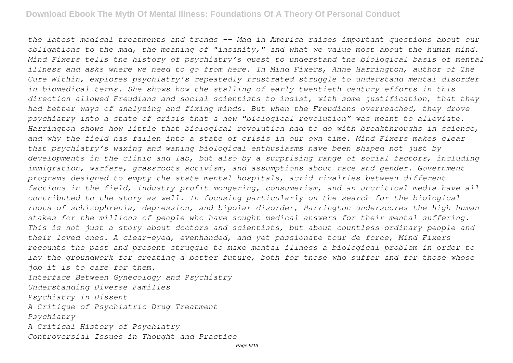*the latest medical treatments and trends -- Mad in America raises important questions about our obligations to the mad, the meaning of "insanity," and what we value most about the human mind. Mind Fixers tells the history of psychiatry's quest to understand the biological basis of mental illness and asks where we need to go from here. In Mind Fixers, Anne Harrington, author of The Cure Within, explores psychiatry's repeatedly frustrated struggle to understand mental disorder in biomedical terms. She shows how the stalling of early twentieth century efforts in this direction allowed Freudians and social scientists to insist, with some justification, that they had better ways of analyzing and fixing minds. But when the Freudians overreached, they drove psychiatry into a state of crisis that a new "biological revolution" was meant to alleviate. Harrington shows how little that biological revolution had to do with breakthroughs in science, and why the field has fallen into a state of crisis in our own time. Mind Fixers makes clear that psychiatry's waxing and waning biological enthusiasms have been shaped not just by developments in the clinic and lab, but also by a surprising range of social factors, including immigration, warfare, grassroots activism, and assumptions about race and gender. Government programs designed to empty the state mental hospitals, acrid rivalries between different factions in the field, industry profit mongering, consumerism, and an uncritical media have all contributed to the story as well. In focusing particularly on the search for the biological roots of schizophrenia, depression, and bipolar disorder, Harrington underscores the high human stakes for the millions of people who have sought medical answers for their mental suffering. This is not just a story about doctors and scientists, but about countless ordinary people and their loved ones. A clear-eyed, evenhanded, and yet passionate tour de force, Mind Fixers recounts the past and present struggle to make mental illness a biological problem in order to lay the groundwork for creating a better future, both for those who suffer and for those whose job it is to care for them. Interface Between Gynecology and Psychiatry Understanding Diverse Families Psychiatry in Dissent*

*A Critique of Psychiatric Drug Treatment Psychiatry*

*A Critical History of Psychiatry Controversial Issues in Thought and Practice*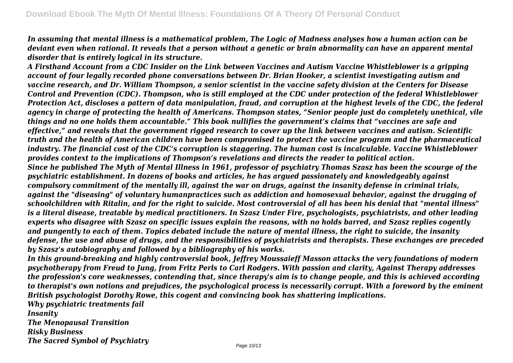*In assuming that mental illness is a mathematical problem, The Logic of Madness analyses how a human action can be deviant even when rational. It reveals that a person without a genetic or brain abnormality can have an apparent mental disorder that is entirely logical in its structure.*

*A Firsthand Account from a CDC Insider on the Link between Vaccines and Autism Vaccine Whistleblower is a gripping account of four legally recorded phone conversations between Dr. Brian Hooker, a scientist investigating autism and vaccine research, and Dr. William Thompson, a senior scientist in the vaccine safety division at the Centers for Disease Control and Prevention (CDC). Thompson, who is still employed at the CDC under protection of the federal Whistleblower Protection Act, discloses a pattern of data manipulation, fraud, and corruption at the highest levels of the CDC, the federal agency in charge of protecting the health of Americans. Thompson states, "Senior people just do completely unethical, vile things and no one holds them accountable." This book nullifies the government's claims that "vaccines are safe and effective," and reveals that the government rigged research to cover up the link between vaccines and autism. Scientific truth and the health of American children have been compromised to protect the vaccine program and the pharmaceutical industry. The financial cost of the CDC's corruption is staggering. The human cost is incalculable. Vaccine Whistleblower provides context to the implications of Thompson's revelations and directs the reader to political action. Since he published The Myth of Mental Illness in 1961, professor of psychiatry Thomas Szasz has been the scourge of the psychiatric establishment. In dozens of books and articles, he has argued passionately and knowledgeably against compulsory commitment of the mentally ill, against the war on drugs, against the insanity defense in criminal trials, against the "diseasing" of voluntary humanpractices such as addiction and homosexual behavior, against the drugging of schoolchildren with Ritalin, and for the right to suicide. Most controversial of all has been his denial that "mental illness" is a literal disease, treatable by medical practitioners. In Szasz Under Fire, psychologists, psychiatrists, and other leading experts who disagree with Szasz on specific issues explain the reasons, with no holds barred, and Szasz replies cogently and pungently to each of them. Topics debated include the nature of mental illness, the right to suicide, the insanity defense, the use and abuse of drugs, and the responsibilities of psychiatrists and therapists. These exchanges are preceded by Szasz's autobiography and followed by a bibliography of his works.*

*In this ground-breaking and highly controversial book, Jeffrey Moussaieff Masson attacks the very foundations of modern psychotherapy from Freud to Jung, from Fritz Perls to Carl Rodgers. With passion and clarity, Against Therapy addresses the profession's core weaknesses, contending that, since therapy's aim is to change people, and this is achieved according to therapist's own notions and prejudices, the psychological process is necessarily corrupt. With a foreword by the eminent British psychologist Dorothy Rowe, this cogent and convincing book has shattering implications.*

*Why psychiatric treatments fail Insanity The Menopausal Transition Risky Business The Sacred Symbol of Psychiatry*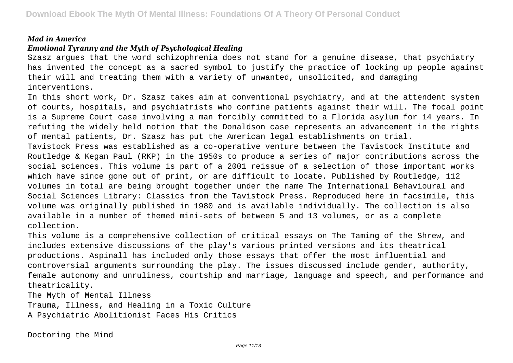#### *Mad in America*

### *Emotional Tyranny and the Myth of Psychological Healing*

Szasz argues that the word schizophrenia does not stand for a genuine disease, that psychiatry has invented the concept as a sacred symbol to justify the practice of locking up people against their will and treating them with a variety of unwanted, unsolicited, and damaging interventions.

In this short work, Dr. Szasz takes aim at conventional psychiatry, and at the attendent system of courts, hospitals, and psychiatrists who confine patients against their will. The focal point is a Supreme Court case involving a man forcibly committed to a Florida asylum for 14 years. In refuting the widely held notion that the Donaldson case represents an advancement in the rights of mental patients, Dr. Szasz has put the American legal establishments on trial.

Tavistock Press was established as a co-operative venture between the Tavistock Institute and Routledge & Kegan Paul (RKP) in the 1950s to produce a series of major contributions across the social sciences. This volume is part of a 2001 reissue of a selection of those important works which have since gone out of print, or are difficult to locate. Published by Routledge, 112 volumes in total are being brought together under the name The International Behavioural and Social Sciences Library: Classics from the Tavistock Press. Reproduced here in facsimile, this volume was originally published in 1980 and is available individually. The collection is also available in a number of themed mini-sets of between 5 and 13 volumes, or as a complete collection.

This volume is a comprehensive collection of critical essays on The Taming of the Shrew, and includes extensive discussions of the play's various printed versions and its theatrical productions. Aspinall has included only those essays that offer the most influential and controversial arguments surrounding the play. The issues discussed include gender, authority, female autonomy and unruliness, courtship and marriage, language and speech, and performance and theatricality.

The Myth of Mental Illness

Trauma, Illness, and Healing in a Toxic Culture A Psychiatric Abolitionist Faces His Critics

Doctoring the Mind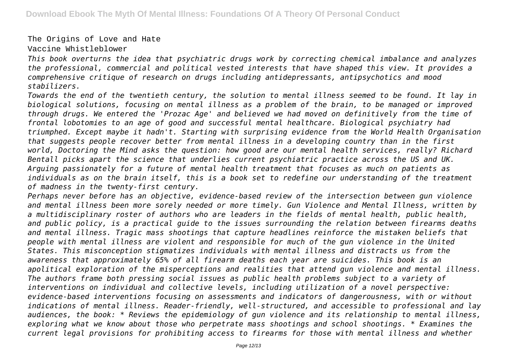The Origins of Love and Hate Vaccine Whistleblower

*This book overturns the idea that psychiatric drugs work by correcting chemical imbalance and analyzes the professional, commercial and political vested interests that have shaped this view. It provides a comprehensive critique of research on drugs including antidepressants, antipsychotics and mood stabilizers.*

*Towards the end of the twentieth century, the solution to mental illness seemed to be found. It lay in biological solutions, focusing on mental illness as a problem of the brain, to be managed or improved through drugs. We entered the 'Prozac Age' and believed we had moved on definitively from the time of frontal lobotomies to an age of good and successful mental healthcare. Biological psychiatry had triumphed. Except maybe it hadn't. Starting with surprising evidence from the World Health Organisation that suggests people recover better from mental illness in a developing country than in the first world, Doctoring the Mind asks the question: how good are our mental health services, really? Richard Bentall picks apart the science that underlies current psychiatric practice across the US and UK. Arguing passionately for a future of mental health treatment that focuses as much on patients as individuals as on the brain itself, this is a book set to redefine our understanding of the treatment of madness in the twenty-first century.*

*Perhaps never before has an objective, evidence-based review of the intersection between gun violence and mental illness been more sorely needed or more timely. Gun Violence and Mental Illness, written by a multidisciplinary roster of authors who are leaders in the fields of mental health, public health, and public policy, is a practical guide to the issues surrounding the relation between firearms deaths and mental illness. Tragic mass shootings that capture headlines reinforce the mistaken beliefs that people with mental illness are violent and responsible for much of the gun violence in the United States. This misconception stigmatizes individuals with mental illness and distracts us from the awareness that approximately 65% of all firearm deaths each year are suicides. This book is an apolitical exploration of the misperceptions and realities that attend gun violence and mental illness. The authors frame both pressing social issues as public health problems subject to a variety of interventions on individual and collective levels, including utilization of a novel perspective: evidence-based interventions focusing on assessments and indicators of dangerousness, with or without indications of mental illness. Reader-friendly, well-structured, and accessible to professional and lay audiences, the book: \* Reviews the epidemiology of gun violence and its relationship to mental illness, exploring what we know about those who perpetrate mass shootings and school shootings. \* Examines the current legal provisions for prohibiting access to firearms for those with mental illness and whether*